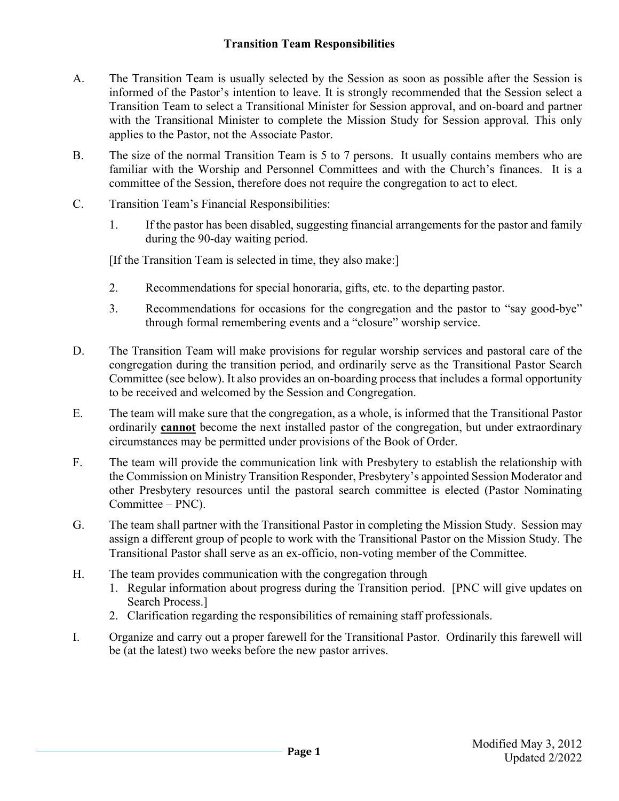## **Transition Team Responsibilities**

- A. The Transition Team is usually selected by the Session as soon as possible after the Session is informed of the Pastor's intention to leave. It is strongly recommended that the Session select a Transition Team to select a Transitional Minister for Session approval, and on-board and partner with the Transitional Minister to complete the Mission Study for Session approval*.* This only applies to the Pastor, not the Associate Pastor.
- B. The size of the normal Transition Team is 5 to 7 persons. It usually contains members who are familiar with the Worship and Personnel Committees and with the Church's finances. It is a committee of the Session, therefore does not require the congregation to act to elect.
- C. Transition Team's Financial Responsibilities:
	- 1. If the pastor has been disabled, suggesting financial arrangements for the pastor and family during the 90-day waiting period.

[If the Transition Team is selected in time, they also make:]

- 2. Recommendations for special honoraria, gifts, etc. to the departing pastor.
- 3. Recommendations for occasions for the congregation and the pastor to "say good-bye" through formal remembering events and a "closure" worship service.
- D. The Transition Team will make provisions for regular worship services and pastoral care of the congregation during the transition period, and ordinarily serve as the Transitional Pastor Search Committee (see below). It also provides an on-boarding process that includes a formal opportunity to be received and welcomed by the Session and Congregation.
- E. The team will make sure that the congregation, as a whole, is informed that the Transitional Pastor ordinarily **cannot** become the next installed pastor of the congregation, but under extraordinary circumstances may be permitted under provisions of the Book of Order.
- F. The team will provide the communication link with Presbytery to establish the relationship with the Commission on Ministry Transition Responder, Presbytery's appointed Session Moderator and other Presbytery resources until the pastoral search committee is elected (Pastor Nominating Committee – PNC).
- G. The team shall partner with the Transitional Pastor in completing the Mission Study. Session may assign a different group of people to work with the Transitional Pastor on the Mission Study. The Transitional Pastor shall serve as an ex-officio, non-voting member of the Committee.
- H. The team provides communication with the congregation through
	- 1. Regular information about progress during the Transition period. [PNC will give updates on Search Process.]
	- 2. Clarification regarding the responsibilities of remaining staff professionals.
- I. Organize and carry out a proper farewell for the Transitional Pastor. Ordinarily this farewell will be (at the latest) two weeks before the new pastor arrives.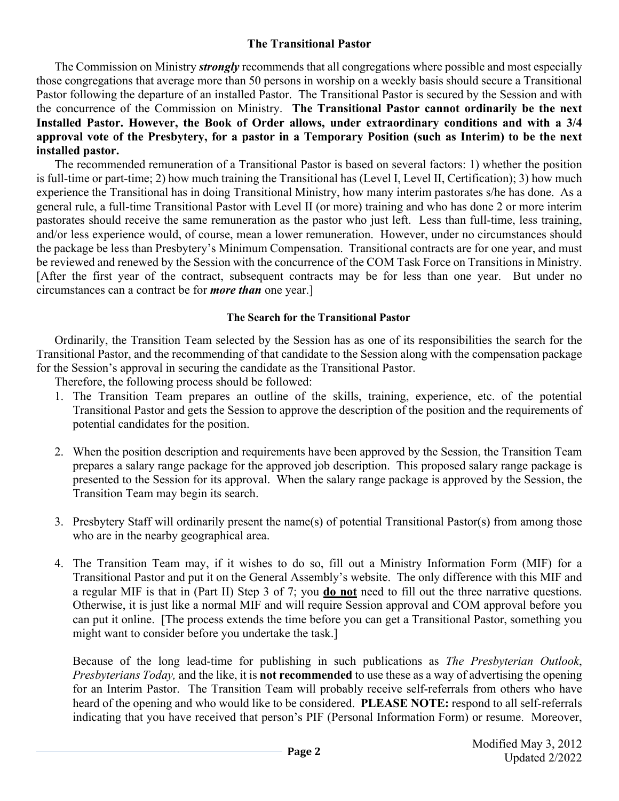## **The Transitional Pastor**

The Commission on Ministry *strongly* recommends that all congregations where possible and most especially those congregations that average more than 50 persons in worship on a weekly basis should secure a Transitional Pastor following the departure of an installed Pastor. The Transitional Pastor is secured by the Session and with the concurrence of the Commission on Ministry. **The Transitional Pastor cannot ordinarily be the next Installed Pastor. However, the Book of Order allows, under extraordinary conditions and with a 3/4 approval vote of the Presbytery, for a pastor in a Temporary Position (such as Interim) to be the next installed pastor.**

The recommended remuneration of a Transitional Pastor is based on several factors: 1) whether the position is full-time or part-time; 2) how much training the Transitional has (Level I, Level II, Certification); 3) how much experience the Transitional has in doing Transitional Ministry, how many interim pastorates s/he has done. As a general rule, a full-time Transitional Pastor with Level II (or more) training and who has done 2 or more interim pastorates should receive the same remuneration as the pastor who just left. Less than full-time, less training, and/or less experience would, of course, mean a lower remuneration. However, under no circumstances should the package be less than Presbytery's Minimum Compensation. Transitional contracts are for one year, and must be reviewed and renewed by the Session with the concurrence of the COM Task Force on Transitions in Ministry. [After the first year of the contract, subsequent contracts may be for less than one year. But under no circumstances can a contract be for *more than* one year.]

## **The Search for the Transitional Pastor**

Ordinarily, the Transition Team selected by the Session has as one of its responsibilities the search for the Transitional Pastor, and the recommending of that candidate to the Session along with the compensation package for the Session's approval in securing the candidate as the Transitional Pastor.

Therefore, the following process should be followed:

- 1. The Transition Team prepares an outline of the skills, training, experience, etc. of the potential Transitional Pastor and gets the Session to approve the description of the position and the requirements of potential candidates for the position.
- 2. When the position description and requirements have been approved by the Session, the Transition Team prepares a salary range package for the approved job description. This proposed salary range package is presented to the Session for its approval. When the salary range package is approved by the Session, the Transition Team may begin its search.
- 3. Presbytery Staff will ordinarily present the name(s) of potential Transitional Pastor(s) from among those who are in the nearby geographical area.
- 4. The Transition Team may, if it wishes to do so, fill out a Ministry Information Form (MIF) for a Transitional Pastor and put it on the General Assembly's website. The only difference with this MIF and a regular MIF is that in (Part II) Step 3 of 7; you **do not** need to fill out the three narrative questions. Otherwise, it is just like a normal MIF and will require Session approval and COM approval before you can put it online. [The process extends the time before you can get a Transitional Pastor, something you might want to consider before you undertake the task.]

Because of the long lead-time for publishing in such publications as *The Presbyterian Outlook*, *Presbyterians Today,* and the like, it is **not recommended** to use these as a way of advertising the opening for an Interim Pastor. The Transition Team will probably receive self-referrals from others who have heard of the opening and who would like to be considered. **PLEASE NOTE:** respond to all self-referrals indicating that you have received that person's PIF (Personal Information Form) or resume. Moreover,